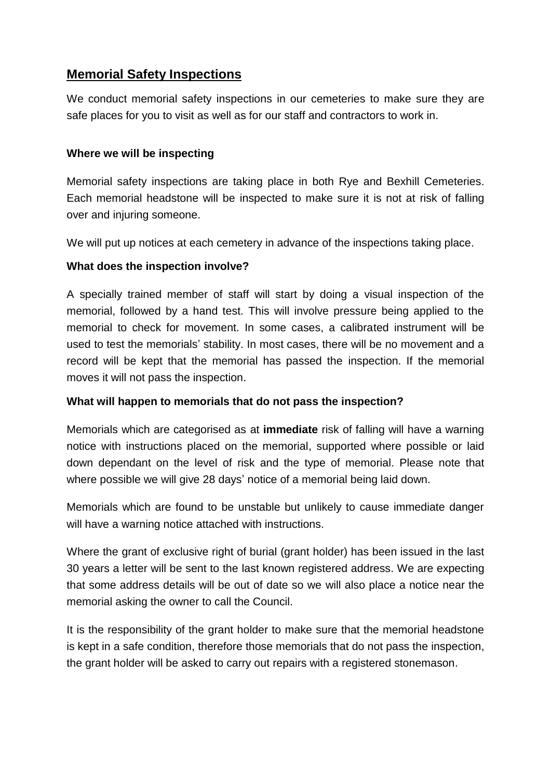# **Memorial Safety Inspections**

We conduct memorial safety inspections in our cemeteries to make sure they are safe places for you to visit as well as for our staff and contractors to work in.

## **Where we will be inspecting**

Memorial safety inspections are taking place in both Rye and Bexhill Cemeteries. Each memorial headstone will be inspected to make sure it is not at risk of falling over and injuring someone.

We will put up notices at each cemetery in advance of the inspections taking place.

### **What does the inspection involve?**

A specially trained member of staff will start by doing a visual inspection of the memorial, followed by a hand test. This will involve pressure being applied to the memorial to check for movement. In some cases, a calibrated instrument will be used to test the memorials' stability. In most cases, there will be no movement and a record will be kept that the memorial has passed the inspection. If the memorial moves it will not pass the inspection.

### **What will happen to memorials that do not pass the inspection?**

Memorials which are categorised as at **immediate** risk of falling will have a warning notice with instructions placed on the memorial, supported where possible or laid down dependant on the level of risk and the type of memorial. Please note that where possible we will give 28 days' notice of a memorial being laid down.

Memorials which are found to be unstable but unlikely to cause immediate danger will have a warning notice attached with instructions.

Where the grant of exclusive right of burial (grant holder) has been issued in the last 30 years a letter will be sent to the last known registered address. We are expecting that some address details will be out of date so we will also place a notice near the memorial asking the owner to call the Council.

It is the responsibility of the grant holder to make sure that the memorial headstone is kept in a safe condition, therefore those memorials that do not pass the inspection, the grant holder will be asked to carry out repairs with a registered stonemason.